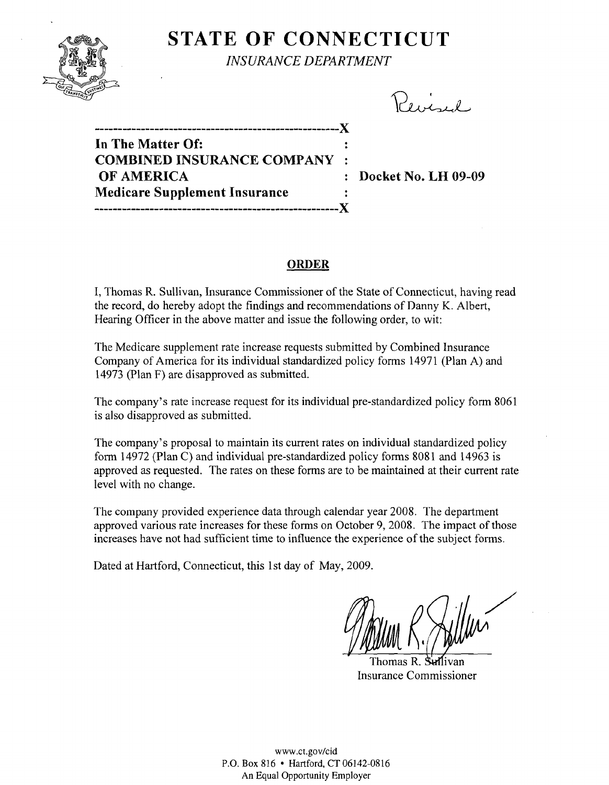

## **STATE OF CONNECTICUT** *INSURANCE DEPARTMENT*

Peircel

**-----------------------------------------------------)( In The Matter Of: COMBINED INSURANCE COMPANY OF AMERICA** : Docket No. LH 09-09 **Medicare Supplement Insurance -----------------------------------------------------)(** 

### **ORDER**

I, Thomas R. Sullivan, Insurance Commissioner of the State of Connecticut, having read the record, do hereby adopt the findings and recommendations of Danny K. Albert, Hearing Officer in the above matter and issue the following order, to wit:

The Medicare supplement rate increase requests submitted by Combined Insurance Company of America for its individual standardized policy forms 14971 (Plan A) and 14973 (Plan F) are disapproved as submitted.

The company's rate increase request for its individual pre-standardized policy form 8061 is also disapproved as submitted.

The company's proposal to maintain its current rates on individual standardized policy form 14972 (Plan C) and individual pre-standardized policy forms 8081 and 14963 is approved as requested. The rates on these forms are to be maintained at their current rate level with no change.

The company provided experience data through calendar year 2008. The department approved various rate increases for these fonus on October 9,2008. The impact of those increases have not had sufficient time to influence the experience of the subject forms.

Dated at Hartford, Connecticut, this 1st day of May, 2009.

Thomas R. Sullivan Insurance Commissioner

www.ct.gov/cid P.O. Box 816 • Hartford, CT 06142-0816 An Equal Opportunity Employer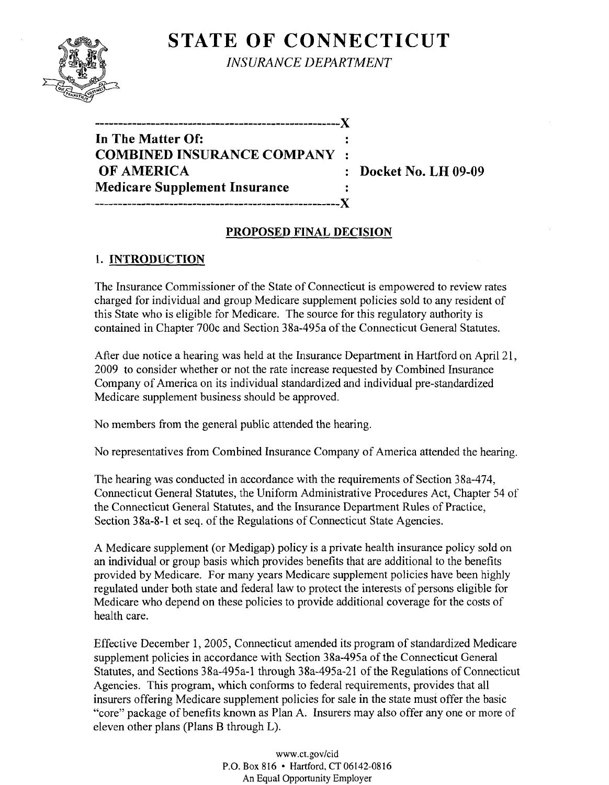# **STATE OF CONNECTICUT**



*INSURANCE DEPARTMENT* 

| --------------------------X          |  |
|--------------------------------------|--|
| In The Matter Of:                    |  |
| <b>COMBINED INSURANCE COMPANY:</b>   |  |
| OF AMERICA                           |  |
| <b>Medicare Supplement Insurance</b> |  |
|                                      |  |

**Docket No. LH 09-09** 

## **PROPOSED FINAL DECISION**

## 1. **INTRODUCTION**

The Insurance Commissioner of the State of Connecticut is empowered to review rates charged for individual and group Medicare supplement policies sold to any resident of this State who is eligible for Medicare. The source for this regulatory authority is contained in Chapter 700c and Section 38a-495a of the Connecticut General Statutes.

After due notice a hearing was held at the Insurance Department in Hartford on April 21, 2009 to consider whether or not the rate increase requested by Combined Insurance Company of America on its individual standardized and individual pre-standardized Medicare supplement business should be approved.

No members from the general public attended the hearing.

No representatives from Combined Insurance Company of America attended the hearing.

The hearing was conducted in accordance with the requirements of Section 38a-474, Connecticut General Statutes, the Uniform Administrative Procedures Act, Chapter 54 of the Connecticut General Statutes, and the Insurance Department Rules of Practice, Section 38a-8-1 et seq. of the Regulations of Connecticut State Agencies.

A Medicare supplement (or Medigap) policy is a private health insurance policy sold on an individual or group basis which provides benefits that are additional to the benefits provided by Medicare. For many years Medicare supplement policies have been highly regulated under both state and federal law to protect the interests of persons eligible for Medicare who depend on these policies to provide additional coverage for the costs of health care.

Effective December 1,2005, Connecticut amended its program of standardized Medicare supplement policies in accordance with Section 38a-495a of the Connecticut General Statutes, and Sections 38a-495a-1 through 38a-495a-21 of the Regulations of Connecticut Agencies. This program, which conforms to federal requirements, provides that all insurers offering Medicare supplement policies for sale in the state must offer the basic "core" package of benefits known as Plan A. Insurers may also offer anyone or more of eleven other plans (Plans B through L).

> www.ct.gov/cid P.O. Box 816 • Hartford, CT 06142-0816 An Equal Opportunity Employer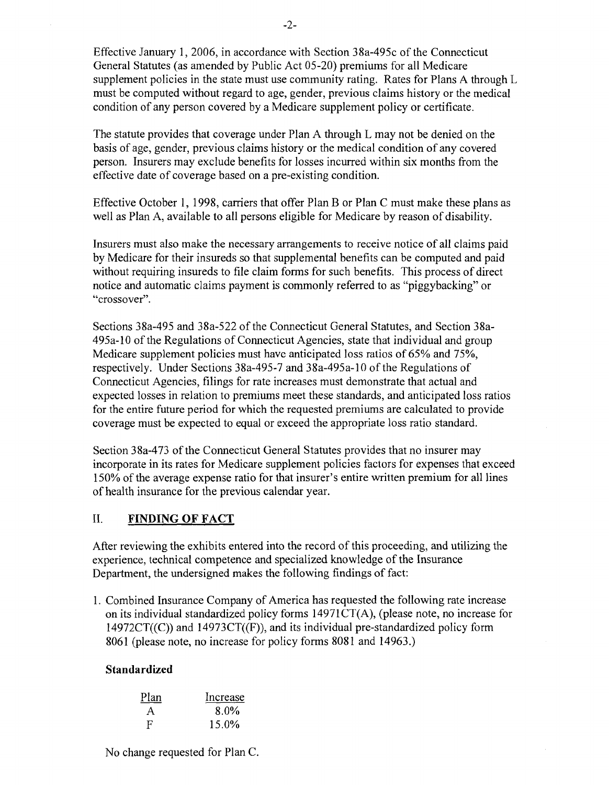Effective January 1,2006, in accordance with Section 38a-495c of the Connecticut General Statutes (as amended by Public Act 05-20) premiums for all Medicare supplement policies in the state must use community rating. Rates for Plans A through L must be computed without regard to age, gender, previous claims history or the medical condition of any person covered by a Medicare supplement policy or certificate.

The statute provides that coverage under Plan A through L may not be denied on the basis of age, gender, previous claims history or the medical condition of any covered person. Insurers may exclude benefits for losses incurred within six months from the effective date of coverage based on a pre-existing condition.

Effective October I, 1998, carriers that offer Plan B or Plan C must make these plans as well as Plan A, available to all persons eligible for Medicare by reason of disability.

Insurers must also make the necessary arrangements to receive notice of all claims paid by Medicare for their insureds so that supplemental benefits can be computed and paid without requiring insureds to file claim forms for such benefits. This process of direct notice and automatic claims payment is commonly referred to as "piggybacking" or "crossover".

Sections 38a-495 and 38a-522 of the Connecticut General Statutes, and Section 38a-495a-10 of the Regulations of Connecticut Agencies, state that individual and group Medicare supplement policies must have anticipated loss ratios of 65% and 75%, respectively. Under Sections 38a-495-7 and 38a-495a-10 of the Regulations of Connecticut Agencies, filings for rate increases must demonstrate that actual and expected losses in relation to premiums meet these standards, and anticipated loss ratios for the entire future period for which the requested premiums are calculated to provide coverage must be expected to equal or exceed the appropriate loss ratio standard.

Section 38a-473 of the Connecticut General Statutes provides that no insurer may incorporate in its rates for Medicare supplement policies factors for expenses that exceed 150% of the average expense ratio for that insurer's entire written premium for all lines of health insurance for the previous calendar year.

## II. **FINDING OF FACT**

After reviewing the exhibits entered into the record of this proceeding, and utilizing the experience, technical competence and specialized knowledge of the Insurance Department, the undersigned makes the following findings of fact:

1. Combined Insurance Company of America has requested the following rate increase on its individual standardized policy forms 14971CT(A), (please note, no increase for  $14972CT((C))$  and  $14973CT((F))$ , and its individual pre-standardized policy form 8061 (please note, no increase for policy forms 8081 and 14963.)

## **Standardized**

| Plan         | Increase |
|--------------|----------|
| $\mathsf{A}$ | 8.0%     |
| F            | 15.0%    |

No change requested for Plan C.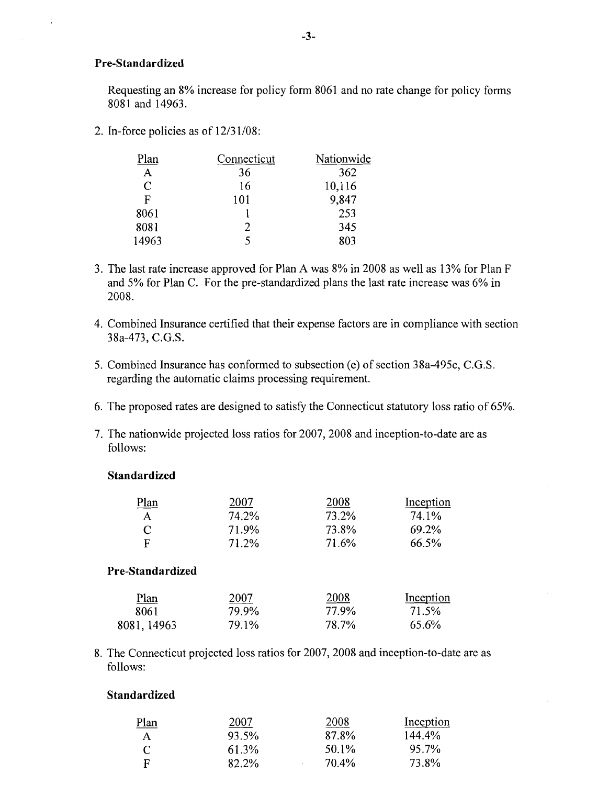#### **Pre-Standardized**

Requesting an 8% increase for policy form 8061 and no rate change for policy forms 8081 and 14963.

2. In-force policies as of 12/31/08:

| Plan  | Connecticut | Nationwide |
|-------|-------------|------------|
| Α     | 36          | 362        |
| C     | 16          | 10,116     |
| F     | 101         | 9,847      |
| 8061  |             | 253        |
| 8081  | 2           | 345        |
| 14963 | 5           | 803        |

- 3. The last rate increase approved for Plan A was 8% in 2008 as well as 13% for Plan F and 5% for Plan C. For the pre-standardized plans the last rate increase was 6% in 2008.
- 4. Combined Insurance certified that their expense factors are in compliance with section 38a-473, C.G.S.
- 5. Combined Insurance has conformed to subsection (e) of section 38a-495c, C.G.S. regarding the automatic claims processing requirement.
- 6. The proposed rates are designed to satisfy the Connecticut statutory loss ratio of 65%.
- 7. The nationwide projected loss ratios for 2007, 2008 and inception-to-date are as follows:

#### **Standardized**

| Plan             | 2007  | 2008  | Inception |
|------------------|-------|-------|-----------|
| A                | 74.2% | 73.2% | 74.1%     |
| C                | 71.9% | 73.8% | 69.2%     |
| F                | 71.2% | 71.6% | 66.5%     |
| Pre-Standardized |       |       |           |
| Plan             | 2007  | 2008  | Inception |
| 8061             | 79.9% | 77.9% | 71.5%     |
| 8081, 14963      | 79.1% | 78.7% | 65.6%     |

8. The Connecticut projected loss ratios for 2007, 2008 and inception-to-date are as follows:

#### **Standardized**

| <u>Plan</u>  | 2007  | 2008  | Inception |
|--------------|-------|-------|-----------|
| $\mathbf{A}$ | 93.5% | 87.8% | 144.4%    |
| C            | 61.3% | 50.1% | 95.7%     |
| F            | 82.2% | 70.4% | 73.8%     |